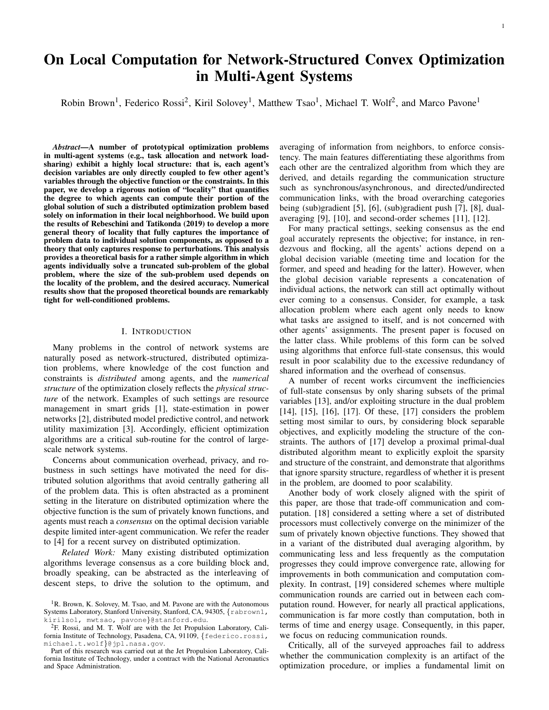# On Local Computation for Network-Structured Convex Optimization in Multi-Agent Systems

Robin Brown<sup>1</sup>, Federico Rossi<sup>2</sup>, Kiril Solovey<sup>1</sup>, Matthew Tsao<sup>1</sup>, Michael T. Wolf<sup>2</sup>, and Marco Pavone<sup>1</sup>

*Abstract*—A number of prototypical optimization problems in multi-agent systems (e.g., task allocation and network loadsharing) exhibit a highly local structure: that is, each agent's decision variables are only directly coupled to few other agent's variables through the objective function or the constraints. In this paper, we develop a rigorous notion of "locality" that quantifies the degree to which agents can compute their portion of the global solution of such a distributed optimization problem based solely on information in their local neighborhood. We build upon the results of Rebeschini and Tatikonda (2019) to develop a more general theory of locality that fully captures the importance of problem data to individual solution components, as opposed to a theory that only captures response to perturbations. This analysis provides a theoretical basis for a rather simple algorithm in which agents individually solve a truncated sub-problem of the global problem, where the size of the sub-problem used depends on the locality of the problem, and the desired accuracy. Numerical results show that the proposed theoretical bounds are remarkably tight for well-conditioned problems.

## I. INTRODUCTION

Many problems in the control of network systems are naturally posed as network-structured, distributed optimization problems, where knowledge of the cost function and constraints is *distributed* among agents, and the *numerical structure* of the optimization closely reflects the *physical structure* of the network. Examples of such settings are resource management in smart grids [1], state-estimation in power networks [2], distributed model predictive control, and network utility maximization [3]. Accordingly, efficient optimization algorithms are a critical sub-routine for the control of largescale network systems.

Concerns about communication overhead, privacy, and robustness in such settings have motivated the need for distributed solution algorithms that avoid centrally gathering all of the problem data. This is often abstracted as a prominent setting in the literature on distributed optimization where the objective function is the sum of privately known functions, and agents must reach a *consensus* on the optimal decision variable despite limited inter-agent communication. We refer the reader to [4] for a recent survey on distributed optimization.

*Related Work:* Many existing distributed optimization algorithms leverage consensus as a core building block and, broadly speaking, can be abstracted as the interleaving of descent steps, to drive the solution to the optimum, and averaging of information from neighbors, to enforce consistency. The main features differentiating these algorithms from each other are the centralized algorithm from which they are derived, and details regarding the communication structure such as synchronous/asynchronous, and directed/undirected communication links, with the broad overarching categories being (sub)gradient [5], [6], (sub)gradient push [7], [8], dualaveraging [9], [10], and second-order schemes [11], [12].

For many practical settings, seeking consensus as the end goal accurately represents the objective; for instance, in rendezvous and flocking, all the agents' actions depend on a global decision variable (meeting time and location for the former, and speed and heading for the latter). However, when the global decision variable represents a concatenation of individual actions, the network can still act optimally without ever coming to a consensus. Consider, for example, a task allocation problem where each agent only needs to know what tasks are assigned to itself, and is not concerned with other agents' assignments. The present paper is focused on the latter class. While problems of this form can be solved using algorithms that enforce full-state consensus, this would result in poor scalability due to the excessive redundancy of shared information and the overhead of consensus.

A number of recent works circumvent the inefficiencies of full-state consensus by only sharing subsets of the primal variables [13], and/or exploiting structure in the dual problem [14], [15], [16], [17]. Of these, [17] considers the problem setting most similar to ours, by considering block separable objectives, and explicitly modeling the structure of the constraints. The authors of [17] develop a proximal primal-dual distributed algorithm meant to explicitly exploit the sparsity and structure of the constraint, and demonstrate that algorithms that ignore sparsity structure, regardless of whether it is present in the problem, are doomed to poor scalability.

Another body of work closely aligned with the spirit of this paper, are those that trade-off communication and computation. [18] considered a setting where a set of distributed processors must collectively converge on the minimizer of the sum of privately known objective functions. They showed that in a variant of the distributed dual averaging algorithm, by communicating less and less frequently as the computation progresses they could improve convergence rate, allowing for improvements in both communication and computation complexity. In contrast, [19] considered schemes where multiple communication rounds are carried out in between each computation round. However, for nearly all practical applications, communication is far more costly than computation, both in terms of time and energy usage. Consequently, in this paper, we focus on reducing communication rounds.

Critically, all of the surveyed approaches fail to address whether the communication complexity is an artifact of the optimization procedure, or implies a fundamental limit on

<sup>&</sup>lt;sup>1</sup>R. Brown, K. Solovey, M. Tsao, and M. Pavone are with the Autonomous Systems Laboratory, Stanford University, Stanford, CA, 94305, {rabrown1, kirilsol, mwtsao, pavone}@stanford.edu.

<sup>2</sup>F. Rossi, and M. T. Wolf are with the Jet Propulsion Laboratory, California Institute of Technology, Pasadena, CA, 91109, {federico.rossi, michael.t.wolf}@jpl.nasa.gov.

Part of this research was carried out at the Jet Propulsion Laboratory, California Institute of Technology, under a contract with the National Aeronautics and Space Administration.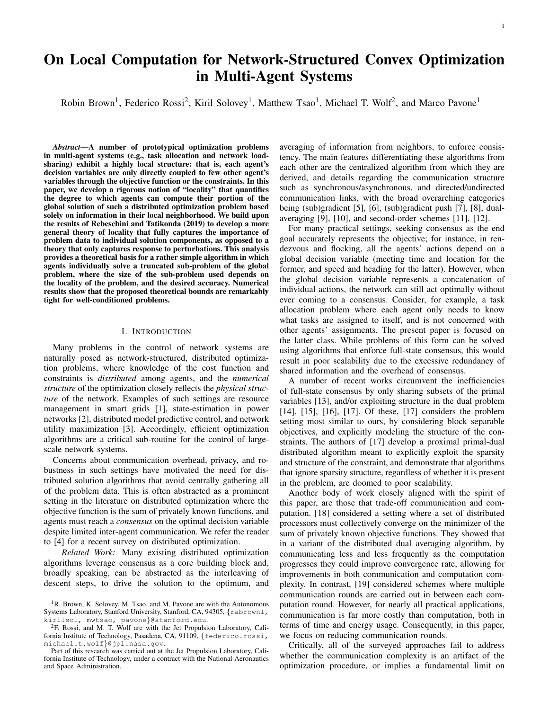the amount of communication exchange necessary to solve network-structured optimization problems. Many problems may simply require intense, network-wide coordination to solve. On the other hand, there are problems that can be solved with only a limited view of the network. In order to design robotic networks that scale gracefully with the number of agents, it is paramount that we identify problems in this latter class, and exploit their locality as much as possible. In other words, ensure that communication is kept at the bare minimum necessary to solve the problem at hand. To this end, we ask a different question: how well agents can compute their portion of the global solution based solely on information in their local neighborhood?

Our approach builds on the work of Rebeschini and Tatikonda [20], who introduced a notion of "correlation" among variables in network optimization problems. The authors in [20] characterize the "locality" of network-flow problems, and show that the notion of locality can be applied to develop computationally-efficient algorithms for "warm-start" optimization, i.e., re-optimizing after the problem is perturbed.

Our approach in this paper also draws influence from the field of local computation, a sub-field of theoretical computer science. Motivated by the common threads in problems such as locally decodable codes, and decompression algorithms, Rubinfeld et al. [21] proposed a unifying framework of Local Computation Algorithms (LCAs). LCAs formalize the intuition that, in problems with large inputs and outputs, if only a small subset of the output is needed, it is inefficient to compute the entire output and simply read off the component required. Instead, both computation and access to the input should be kept to a minimum such that the required output is obtained and is consistent with subsequent queries.

*Statement of Contribution*<sup>1</sup> *:* We develop a theoretical basis for the local-computation paradigm applied to convex optimization problems in multi-agent systems. Specifically, given the objective of computing  $x_i$ , a single component of the optimal decision variable, we characterize the error incurred by truncating the optimization problem to a neighborhood "around"  $x_i$ , a single component of the decision variable. We show that for *all* linearly-constrained strongly-convex optimization problems, this error decays exponentially with the size of the neighborhood at a rate dependent on the conditioning of the problem. This rate, which we coin as the "locality" of a problem, naturally characterizes the tradeoff between the amount of local knowledge available to an agent, and the quality of its approximation. The condition number of a problem, colloquially referred to as a metric of how "well-behaved" a problem is, unsurprisingly, correlated with the locality of a problem. Our findings give a theoretical basis for a rather simple algorithm, in which agents simply solve truncated sub-problems of the global problem. Our numerical results, obtained by using this algorithm, show that the tightness of the theoretical bounds also depend on the condition number of the problem, with the bounds being nearoptimal for well-conditioned problems.

*Organization:* In Section II, we introduce notation, terminology, and technical assumptions about the problem. In Sec-

TABLE I: List of repeatedly used notation

| Symbol                | Description                                                         |
|-----------------------|---------------------------------------------------------------------|
| $V^{(p)}$             | Set of primal variables                                             |
| $V^{(d)}$             | Set of dual variables                                               |
| $C_S$                 | Set of constraints that <i>only</i> involve variables in S          |
| $\overline{C}_S$      | Set of constraints that involve any of the variables in S           |
| $\frac{S_j}{x^{(S)}}$ | Set of primal variables participating in the <i>j</i> th constraint |
|                       | Solution to the local sub-problem induced by S                      |
| $G_{\text{dec}}$      | Graph of decision variables that appear in the same constraint      |
| $G_{\rm con}$         | Graph of constraints that share primal variables                    |
| $G_{\text{opt}}$      | Graph of connections between primal and dual variables              |

tion III, we provide the problem statement, which establishes the fundamental question of locality, and summarize the main result, which provides a problem-specific bound on the rate of locality. We also summarize the key intermediary results, and discuss the algorithmic implications of locality in terms of the communication and message complexity it implies. We conclude the section with detailed discussion of the major advantages and deficiencies of our method compared to other methods. Proof sketches of the main results are reported in Section IV. In Section V, we provide numerical experiments that highlight both scenarios where our theoretical bounds are tight, and those where our bounds are conservative. We conclude and highlight future directions in Section VI.

#### II. NOTATION AND ASSUMPTIONS

We let  $[N]$  denote the 1 *N* indices, and  $e_i$  the canonical *i*th basis vector. For a matrix  $A$ ,  $A_{ij}$  denotes the element in position  $(i, j)$ . Similarly,  $A_{i}$  and  $A_{j}$  denote the *i*th row and *j*th column of *A*, respectively. Let  $A<sup>T</sup>$  be the transpose, and  $A^{-1}$  be the inverse. Given subsets *I M*; *J N*, let  $A_{I,J}$  2  $R^{jIj}$ <sup>*JJj*</sup> denotes the submatrix of *A* given by the rows in *I* and columns in *J*. Similarly,  $A_{I}$  *I* denotes the submatrix of *A* obtained by removing rows *I* and columns *J*. We let  $S_{\text{max}}(A)$  and  $I_{\text{max}}(A)$  denote the maximum singular values and eigenvalues of A, respectively  $(S_{min}(A)$  and  $I_{min}(A)$  the minimums), and  $k(A) = \frac{\bar{J} \tan(A)}{\bar{J} \tan(A)}$  the condition number. The difference between sets,  $\hat{S}_1 \cap \hat{S}_2 = \hat{S}_1 \cap \hat{S}_2$  *S*<sub>1</sub> *j s*  $\hat{\mathcal{B}} S_2 \mathcal{G}$  is the set of elements in  $S_1$  but not  $S_2$ .

Throughout this paper, we will consider linearly-constrained separable convex optimization problems of the form:

$$
\begin{array}{ll}\text{minimize} & f(x) = \mathbf{\hat{G}} f_i(x_i) \\ x \, 2 \, \mathbf{R}^N & i \\ \text{subject to} & Ax = b. \end{array} \tag{1}
$$

We assume that  $A \supseteq R^{M}$  *N* is full row rank, and that each function  $f_i$ :  $R$  !  $R$  is *L*-smooth, *m*-strongly convex, and twice continuously differentiable. We let  $V^{(p)} = [N]$  denote the set of primal variables,  $V^{(d)} = [M]$  the set of dual variables, and  $S_j = f_i 2V^{(p)} A_{ji} \neq 0$ g the set of primal variables participating in the *j*th constraint. For any subset of the primal variable, *S*  $V^{(p)}$ , we also define the following set of constraints

$$
C_S := f_i \, 2 \, [M] \, j \text{ if } j \otimes S \text{ then } A_{ij} = 0 \, g; \tag{2}
$$

$$
\overline{C}_S := f i \, 2 [M] \, j A_{ij} \neq 0 \text{ for some } j \, 2 S g. \tag{3}
$$

Intuitively, *C<sup>S</sup>* is the set of constraints that *only* involve variables in *S*, and  $\overline{C}_S$  is the set of constraints that involve any of the variables in *S*. Throughout this paper, we fix the objective function *f* and the constraint matrix *A*, and write  $x$  ( $b$ ) as a function of the constraint vector,  $b$ . We define an undirected graph  $G = (V/E)$  by its vertex set *V* 

<sup>&</sup>lt;sup>1</sup>A preliminary version of this work was accepted at the 2020 European Control Conference [22]. This paper extends prior results by providing tighter bounds on the locality of problems, and extending the decay results to *all* linearly-constrained strongly-convex optimization problems.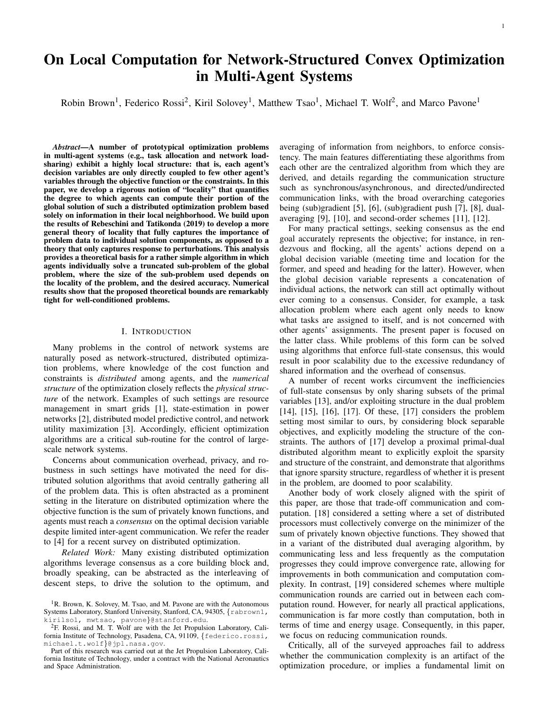and edge set  $E$ , where elements  $(i, j)$   $\geq E$  are unordered tuples with  $i, j \geq V$ . We define the graph distance  $d_G(i, j)$ to be the length of the shortest path between vertices *i* and *j* in graph *G*, and  $N_k^G(i) = f_j^T 2 V j d_G(i; j)$  *kg* (termed the "*k*-hop neighborhood") around vertex *i* in graph *G* for a given  $k \ge N_{>0}$ . We define the following undirected graphs representing coupling in the optimization problem:

 $G_{\text{dec}} = (V^{(p)} / E_{\text{dec}}(x))$ , with  $E_{\text{dec}} = f(v_i^{(p)})$  $\binom{p}{i}$ *;* $\upsilon$ <sup>*y*</sup> $\binom{p}{j}$ *j* ) j  $v_i^{(p)}$  $\binom{(p)}{i}$ ;  $\frac{v(p)}{j}$  2*V*<sup>(*p*)</sup>;  $A_{ki} \neq 0$ ;  $A_{kj} \neq 0$  for some *kg*. Informally, *G*dec encodes the *decision variables* that appear in the same constraint.

 $G_{\text{con}} = (V^{(d)}; E_{\text{con}})$ , with  $E_{\text{con}} = f(i, j)$  j  $[AA^T]_{ij} \neq 0$ g. Informally,  $G_{\text{con}}$  encodes connections between the *constraints* through shared primal variables.

 $G_{\text{opt}} = (V^{(p)} \int V^{(d)} / E_{\text{opt}}(x))$ , with  $E_{\text{opt}} = f(v_i^{(p)})$ *j* ; *v* (*d*)  $\binom{a}{i}$  $A_{ij} \notin 0$ g. Informally,  $G_{opt}$  encodes the dependence structure of the *optimization problem*. 2

## III. FOUNDATIONS OF LOCALITY, AND THEIR ALGORITHMIC IMPLICATIONS

#### *A. Problem Statement*

We consider a network of *N* agents collectively solving the following linearly-constrained optimization problem

$$
\begin{array}{ll}\text{minimize} & f(x) = \mathbf{\hat{G}} f_i(x_i) \\ x \, 2 \, \mathbb{R}^N & i \\ \text{subject to} & Ax = b \end{array} \tag{4}
$$

where knowledge of the constraints is distributed, and the decision variable represents a concatenation of the decisions of individual agents. Specifically, we assume that  $f_j$  and  $A_j$ are initially known by agent *j* only, and agent *j* knows *b<sup>i</sup>* if  $A_{ij} \neq 0$ . As a motivating example, consider a scenario where a fleet of agents needs to collectively complete tasks at various locations, while minimizing the cost of completing such tasks. In this setting, the constraints ensure completion of the tasks, while the entries  $A_{ij}$  of the constraint matrix may encode the portion of task *i* that agent *j* can complete, or efficiency when completing tasks, thus, constituting private knowledge. We refer the reader to Section V for additional examples.

We consider the problem to be solved when each agent *j* knows  $x_j$ , i.e, we do not require every agent to know the entire decision variable. With some abuse of notation, we conflate each agent with its associated primal variable.<sup>3</sup>

Our objective in this paper is to characterize the accuracy with which an agent *i* can compute its associated solution *x<sup>i</sup>* component given access to problem data held by agents within a *k*-hop neighborhood of itself in  $G_{\text{dec}}$ , for a given  $k \ge N_{>0}$ . On the communication graph given by  $G_{\text{dec}}$ , obtaining this information requires *k* communication rounds of accumulating and passing problem data between neighbors. Consequently, our results also characterize the trade-off between communication and approximation accuracy in this setting.<sup>4</sup>

#### *B. Foundations of Locality*

For each  $x_i$ , we consider sub-problems induced by restricting Problem (4) to variables within the *k*-hop neighborhood around  $x_i$  and constraints only involving those variables (the "*k*-hop local sub-problems"). The main result of this paper states that the error in the *i*th component of the *k*-hop "local solution" decays exponentially with the size of the neighborhood— a formal statement is provided below.

**Theorem III.1** (Locality). Let  $x^{(k)}$  be the solution to the optimization problem induced by restricting Problem 4 to *k*hop neighborhood around  $x_i$ ,  $\mathcal{N}_k^{(dec)}(i)$ , and the constraints only involving those variables. If  $I = \sup_x \frac{\rho \mathcal{K}(x) - 1}{K(x) + 1}$ , where  $k(x)$  denotes the condition number of  $A[\tilde{N}^2 f(x)]^{-1}A^T$ , then

for 
$$
C = 2
$$
  $1 + \frac{Q}{\frac{L}{m}} \frac{\int x_i^{(k)} x_i f^{(k)}}{\sum_{\substack{s_{max}(A) \\ \sigma_{min}^2(A)}} b^{2k} A x_{UC}^{2k}} \tag{5}$ 

The rate *l* characterizes the degree to which local information is sufficient to approximate individual components of the global optimum, thus justifying it as a metric of "locality". The proof of Theorem III.1 relies on two intermediary results.

Remark. The definition of *C* may appear slightly unusual because the term  $\frac{S_{max}(A)}{S_{min}^2(A)}$  is not scale-invariant i.e.,  $\frac{S_{max}(cA)}{S_{min}^2(cA)}$ s*max*(*A*)  $\frac{S_{max}(A)}{j_c/S_{min}^2(A)}$ . This is remedied by the fact that any constant rescaling of *A* and *b* will rescale *b*  $Ax_{UC}$  <sub>2</sub> as well. Consequently, for all  $c$   $2R$ ,

$$
\frac{S_{max}(A)}{S_{min}^2(A)}\,kb \quad Ax_{UC}k_2 = \frac{S_{max}(cA)}{S_{min}^2(cA)}\,kcb \quad cAx_{UC}k_2: \quad (6)
$$

Our first intermediary result derives the relationship between solutions to the local sub-problems and the true solution to Problem (4) (the "global problem"). Specifically, we show that the solution to a local sub-problem is consistent with that of a perturbed version of the global problem (where the perturbation appears in the constraint vector, *b*).

Theorem III.2 (Relationship between local sub-problems and the global problem). Let  $S^V(p)$  be a subset of the primal variables. If  $x^{(S)}$  is the solution to the problem obtained by restricting Problem (4) to the variables in *S* and constraints only involving those variables, i.e.,

$$
x^{(S)} = \arg\min_{x^{(S)} \supseteq \mathbb{R}^{j(S)}} \hat{\mathbf{a}} f_i \quad x_i^{(S)} \quad ;
$$
\n
$$
\text{subject to } A_{C_s, S} x^{(S)} = b_{C_s} ;
$$
\n
$$
\text{subject to } A_{C_s, S} x^{(S)} = b_{C_s} ;
$$
\n
$$
\text{subject to } A_{C_s, S} x^{(S)} = b_{C_s} ;
$$
\n
$$
\text{(7)}
$$

then there exists  $\hat{b} \, 2 \, \mathbb{R}^M$  such that  $x^{(S)} = x \, (\hat{b}) \,$  *S*.

The importance of Theorem III.2 lies in the fact that we can interpret solving local sub-problems as solving perturbed

<sup>&</sup>lt;sup>2</sup>Without loss of generality, we assume  $G_{opt}$  is fully connected (otherwise each connected component of G<sub>opt</sub> can be treated independently). As a consequence,  $G_{\text{dec}}$  must be fully connected as well.

<sup>&</sup>lt;sup>3</sup>While, in this paper, each agent is only associated with a scalar variable for illustrative purposes, one can readily extend the results in this paper to the setting where each agent is associated with a vector, by stacking each of the agents' variables into a single global variable. Additionally, the case where multiple agents' actions depend on shared variables can be addressed by creating local copies of those variables and enforcing consistency between agents who share that variable through a coupling constraint. We direct the reader to Section V for concrete examples of both generalizations.

<sup>&</sup>lt;sup>4</sup>This communication graph should not be seen prescriptive, but rather one that facilitates ready analysis of the implications of locality with regard to communication.

<sup>&</sup>lt;sup>5</sup>Given further restrictions on *A* and  $f$ , these bounds can be expressed in terms of spectral graph theoretic measures. For example, [20] consider the case where *A* is an incidence matrix, and relate  $A[\tilde{N}^2 f(x)]^{-1} A^T$  to the second largest eigenvalue of the diffusion random walk. It is likely that similar results can be obtained when *A* is an adjacency matrix or unsigned incidence matrix.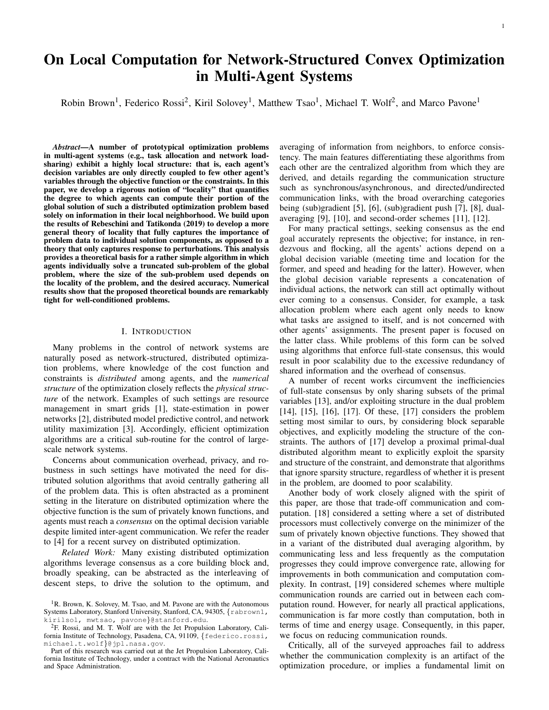versions of the global problem. This interpretation allows us to leverage theory on the sensitivity of optimal points of Problem (4) to characterize the error incurred by only using a subset of the original problem data.

Our second intermediary result characterizes the component-wise magnitudes of this correction factor. Specifically, we show that when the constraint vector of Problem 4 is perturbed, the impact of the perturbation decays exponentially with distance to the perturbation.

**Theorem III.3** (Decay in sensitivity of optimal points). Let *l* be defined as in Theorem III.1. Then for any perturbation in the constraint vector,  $D \supseteq R^M$ , subset of the primal variables, *S*  $V^{(p)}$ , and  $C = \frac{2kDk_2}{S + (A)}$  $\frac{2\Delta D\lambda_2}{S_{\min}(A)},$ 

$$
k[x (b + D) x (b)]_S k_2 C l^{d(S \text{supp}(D))}
$$
 (8)

where  $d(S; \text{supp}(D))$  is a distance between primal variables and dual variables that characterizes the indirect path through coupling in the constraints, by which a perturbation in the constraint propagates to primal variables. For sake of readability, the precise definition is deferred until Section IV-B.

Intuitively, this theorem states that a perturbation in the constraints affects the decision variables "closest" to the constraint the most, i.e., those involved in the constraint, while the effect of the perturbation decays with the degrees of separation between a decision variable and the constraint. The construction of the *k*-hop local sub-problems takes advantage of this theorem by forcing the "perturbation" to be at a distance of at least  $k$  from component  $x_i$ . Theorem III.1 is derived from the intermediary results by bounding the perturbations induced by cutting constraints.

## *C. Algorithmic Implications*

The characterization of locality naturally suggests a means of reducing the communication necessary for distributed optimization. In a radical departure from much of the existing work on distributed optimization, which rely on propagating information throughout the network, we suggest *localizing* information flow. Our results show that the importance of problem data to individual solution components decays with distance to the data. Consequently, if a problem exhibits sufficient locality, by restricting information flow to where it matters most, we can avoid the high communication overhead of flooding methods with little impact on solution quality.

The objective is for each agent to compute its own component of the solution vector, i.e., for agent *i* to compute  $x_i$ . We denote by  $\hat{x}_i$  agent *i*'s estimate of  $x_i$  and we let  $\hat{x} = (\hat{x}_1; \dots; \hat{x}_N)$ be the aggregation of privately known solution components. Because we allow the approximation to violate constraints, the typical metric of sub-optimality in the objective function is uninformative—the approximation generated is guaranteed to have an objective value no larger than the true optimum. Consequently, we will measure the accuracy of our solution by  $k\hat{x}$  *x*  $k_{\hat{x}}$ —this bound readily translates into bounds on both the objective value and constraint violation as well.

The locality-aware distributed optimization algorithm is conceptually simple. Leveraging locality, we conclude that each agent can compute its component of the solution by solving a local sub-problem of the global problem, where the size of the local sub-problem depends on the accuracy desired and the locality of the problem. Agents aggregate

local problem data through a recursive flooding scheme, which is truncated after a predetermined number of communication rounds. Then, each agent solves its own local problem without further communication with the network. Specifically, agent  $i$  starts with its local objective function,  $f_i$ , its associated column of the constraint matrix  $A_{i}$ , and components of the constraint vector  $b_{\overline{C}_i}$ . In the initialization phase, agent *i* sends  $A_{\overline{C}_i,i}$  to each of its neighbors. After the initialization phase, agent *i* has full knowledge of  $A_{\overline{C_i}}$ , i.e., the constraints that it participates in. Then, in the first iteration, agent *i* sends a representation of  $A_{\overline{C_i}}$ ,  $b_{\overline{C_i}}$  and  $f_i$  to each of its neighbors. In subsequent iterations, each agent sends a representation of all of the information it has previously received to each of its neighbors. After the *k*'th iteration, for  $k \geq [K]$ , agent *i* has a representation of  $f_j$ ,  $b_{\overline{C}_j}$  and  $A_{\overline{C}_j}$  for all  $j \ge N$  (*i*; *k*), where  $\bigwedge (i/k)$  denotes the *k*-hop neighbors of agent *i*. After the *K* communication rounds, agent *i* generates its local sub-problem by ignoring any constraints involving variable outside of its *K*-hop neighborhood,  $\wedge$  (*i*;*K*). The algorithm for agent *i* is summarized in Algorithm 1.

| Algorithm 1: Locality-Aware Distributed Optimization                                                     |  |  |
|----------------------------------------------------------------------------------------------------------|--|--|
| <b>input</b> : $f_i$ ; $A_{i}$ ; $b_{\overline{C_i}}$ ; $K$                                              |  |  |
| 1 Initialization: Send $A_{\overline{C}_i}/i$ to all $j \, 2 \, \mathcal{N}(i;1)$ ;                      |  |  |
| 2 for $k = 1, \ldots, K$ do                                                                              |  |  |
| 3 Send $f_{li}$ ; $A_{\overline{C}_{li}}$ ; $b_{\overline{C}_{i}}g_{l2N}(i,k-1)$ to all $j \ge N(i;1)$ ; |  |  |
| 4 end                                                                                                    |  |  |
| 5 Solve                                                                                                  |  |  |
| $x^{(\mathcal{N}(i;K))} = \arg \min \qquad \hat{d} \quad f_j(x_j)$                                       |  |  |
| $x \supset R^{j/\sqrt{(i,K)}}$ j2N(iK)<br>(9)                                                            |  |  |
| $A_{C_{N(i;K)};N(i;K)}x = b_{C_{N(i;K)}}$<br>S.t.                                                        |  |  |
| :                                                                                                        |  |  |
| <b>output:</b> $\hat{x_i} = x_i^{(\text{N} (i;K))}$                                                      |  |  |
|                                                                                                          |  |  |

# *D. Discussion*

It follows directly from the locality analysis in Theorem III.1 that an accuracy of  $k\hat{x}$  *x*  $k_{\hat{x}}$  *e* requires

$$
K = \frac{1}{1 - l} \log \frac{C}{e}
$$
 (10)

communication rounds. This bound not only determines how to select the number of communication rounds (passed in as a hyperparameter), but provides guidance in determining whether the locality-aware algorithm is suitable for a particular setting. If *K* is greater than the radius of the network, at least one node has accumulated the entirety of the problem data—in such settings, the locality-aware algorithm may not be suitable. Generally, the locality-aware algorithm offers an advantage in scenarios where the locality parameter,  $\ell$ , is sufficiently small.

In contrast to algorithms where estimates of the primal or dual solutions are passed between agents, the size of the messages grows with the number of agents in each expanding neighborhood. Explicitly, if each local function can be fully represented by *B* bits, a message representing  $f f_i / A_{C_i} / b_{C_i} g$ requires on the order of  $O(B + \max_i |S_i|)$   $\max_j |C_j|$  bits. Because  $j \wedge (i/k \quad 1)j \quad (max_i / S_i j \quad max_j / C_j)^{k-1}$ , the message size during the *k*th communication round is bounded by  $\bigcirc$  (max<sub>*i*</sub>) $S_i$ *j* max<sub>*j*</sub>) $C_j$ <sub>*j*</sub>)<sup>*k*</sup> bits.

Notably, both the number of communication rounds and the message complexity of the locality-aware algorithm do not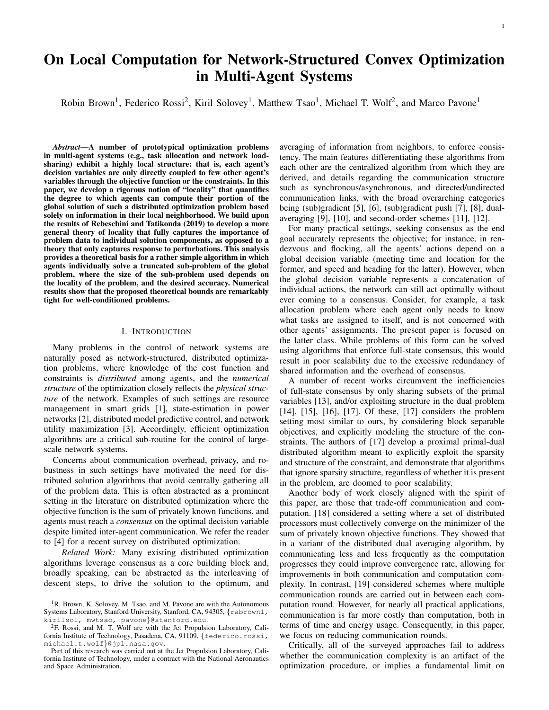directly depend on the number of nodes in the network. In contrast, algorithms that enforce full-state consensus requires each node to send messages of size  $\mathcal{O}(N)$  at every iteration. Moreover, the number of iterations to convergence of such methods tend to scale with the number of nodes in the network (depending on network topology) [4]. While the message complexity of the locality-aware algorithm grows rapidly between iterations, when *A* is sparse,  $jS_i$  *N* and  $jC_i$ *M*. This indicates that the locality-aware algorithm offers a significant advantage in settings where  $jS_i j$  and  $jC_i j$  remain bounded as *N* and *M* are increased, i.e., those where a bounded number of agents participate in constraints, and agents participate in a bounded number of constraints regardless of network size.

A shortcoming of Algorithm 1 is that problem data is explicitly shared between agents. At present, its application is limited to settings where preserving the privacy of individual objective functions and constraint sets is not a concern. However, the scalability of the locality-sensitive algorithm motivates extending these ideas to design algorithms that exploit locality without explicitly sharing problem data, and we highlight this as a promising future direction.

### IV. PROOFS OF MAIN RESULTS

In this section, we provide proof sketches of the main results summarized in Section III. First, in Section IV-A, we derive the relationship between the true solution to Problem (4) (the "global problem") and the solution to the problem obtained by restricting Problem (4) to a subset of the variables and the constraints only involving those variables (the "local subproblem"). Explicitly, we show that the solution of the local sub-problem is consistent with the solution of a perturbed version of the global problem. This then allows us to leverage the sensitivity of optimal points to derive an expression for the difference between the solution to the local sub-problem and the solution to the global problem (the "correction factor").

Second, in Section IV-B, we show that the correction factor derived in Section IV-A yields a numerical structure that reflects the underlying structure of the constraints. Specifically, we show that, while the correction factor will typically be dense, it admits sparse approximations that reflect the sparsity of the constraints. We leverage the guarantees of the Conjugate Residual algorithm to derive, *a priori*, both the sparsity pattern and a bound on the accuracy of the approximation. This approach will allow us to identify which elements of a local solution will be unaffected if a sparse approximation of the correction factor is used. Finally, in Section IV-C, we use the results of the previous sub-sections to characterize the relationship between the quantity of problem data used, and the error in individual components. This will naturally give rise to the metric of locality l, which we formally present at the end of the section.

#### *A. Relating local sub-problems to the global problem*

In this section, we consider sub-problems generated by restricting Problem (4) to a subset of the primal variables and the constraints only involving those variables. In particular, if *S*  $V^{(p)}$  is a subset of the primal variables, we define the *local sub-problem induced by S* as:

$$
x^{(S)}(b) = \underset{x^{(S)}}{\arg \min} \quad \hat{\mathbf{G}} f_i(x_i^{(S)})
$$
  
subject to 
$$
A_{C_s:S}x^{(S)} = b_{C_s}.
$$
 (11)

Our objective in this section is to relate the value of  $x^{(S)}$  to  $[x (b)]_S$ , the components *S* of the global optimum, allowing us to characterize the error in  $x^{(S)}$ .

We first show that augmenting the local sub-problem with the remaining variables does not change the solution to the local sub-problem. By computing the optimal unconstrained values for cut variables, we can derive the global constraint vector  $\hat{b}$  that induces the same value on *S*, i.e.,  $x^{(S)} = x$  ( $\hat{b}$ ) *S*. This insight is key for making the connection between the "warmstart" scenario presented in [20] (computing *x* (*b*) given the solution to  $x$   $(b + p)$ ) to the "cold-start" scenario considered in this paper (computing *x* (*b*) without prior knowledge of other optimal solutions). This allows us to develop a more general theory of locality that fully captures the importance of problem data to individual solution components, as opposed to a theory that only captures response to perturbations.

In the following lemma, we show that if the local-subproblems are augmented with the remaining variables, the solution on the *k*-hop neighborhood does not change.

**Lemma IV.1.** [Augmenting the local sub-problems] Let  $x^{(S)}$ be the solution to the local sub-problem induced by *S*, and

$$
\hat{x}^{(S)}(b) = \arg\min_{x \, \supseteq \, \mathbb{R}^N} \quad \stackrel{N}{\underset{i=1}{\triangle}} f_i(x_i) \tag{12}
$$

subject to  $A_{C_s, S}x = b_{C_s}$ .

is the solution to the problem including the entire objective function, but only the constraints of the local sub-problem, then  $x^{(S)}(b) = \hat{x}^{(S)}(b)$ *S* .

*Proof.* This lemma follows from observing that the variables in  $V^{(p)}$  nS are entirely unconstrained, and can be optimized independently from those in *S*.  $\Box$ 

By computing the values that the constraints in  $V^{(d)}$  nC<sub>s</sub> take on without being enforced, we can derive a constraint vector  $\hat{b}$  that induces the same optimal solution as the local sub-problem.

**Lemma IV.2** (Implicit Constraints). Let  $\hat{x}^{(S)}$  be defined as in Lemma IV.1, and  $\hat{b} = A\hat{x}^{(S)}$ . Then,

$$
\hat{x}^{(S)} = \underset{x \, \text{2} \, \text{R}^N}{\text{arg min}} \quad f(x) \n\text{subject to } Ax = \hat{b}.
$$
\n(13)

*Proof sketch.* The result follows by showing that the feasible set of Problem (13) is a subset of the feasible set of Problem (12).  $\Box$ 

Lemma IV.2 allows us interpret solving the local subproblem as solving a perturbed version of the global problem where *b* is replaced by  $\hat{b}$ . This interpretation allows us to leverage the theory developed by Rebeschini and Tatikonda [20] on the sensitivity of optimal points of Problem (4) to finite perturbations in the constraint vector, *b*, to relate the solution of the local sub-problem to that of the global problem. The main theorem of [20] is reviewed below.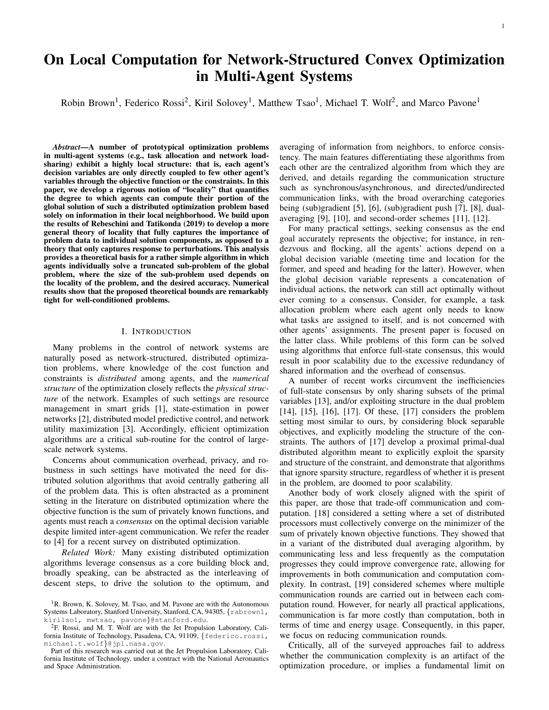Theorem IV.3 (Sensitivity of Optimal Points - Theorem 1 of [20]). Let  $f : \mathbb{R}^N$  !  $\mathbb{R}$  be strongly convex and twice continuously differentiable, and  $A \, 2 \, \mathbb{R}^{\tilde{M} \times N}$  have full row rank. For *b* 2 Im(*A*), let  $S(x (b)) := \tilde{N}^2 f(x (b))^{-1}$ . Then *x* (*b*) is continuously differentiable at all  $\vec{b}$   $2 \mathbb{R}^m$ , and

$$
\frac{dx (b)}{db} = D(b) = S(x (b))AT (AS(x (b))AT)-1.
$$
 (14)

The above theorem relates the gradient of the optimal solution,  $x$   $(b)$ , to the constraint matrix and the objective function. Critically, Equation (14) holds globally, allowing us to apply the Fundamental Theorem of Calculus to determine the correction factor necessary to correct for finite perturbations in the constraint vector. Precisely, if we let  $D = b$  *b*, the correction factor can be expressed as

$$
x (\hat{b} + D) \quad x (\hat{b}) = \int_{0}^{L} S(x_q) A^T (AS(x_q) A^T)^{-1} dq \quad D \tag{15}
$$

where  $x_q := x$  ( $\hat{b} + qD$ ). Consequently, the error in the local solution is precisely this correction factor.

#### *B. Component-wise Sensitivity*

In the previous section, we gave a closed-form expression for the error in the solution of the local sub-problem. In this section, we show how the underlying structure of the optimization problem is reflected in the numerical structure of this error. In particular, we leverage the Conjugate Residuals algorithm [23] to generate a sequence of sparse approximations that converge exponentially to the true correction factor while maintaining sparsity patterns that reflect the underlying graph structure of the optimization problem. We establish that a perturbation in the constraints affects the decision variables "closest" to the constraint the most, while the effect of the perturbation decays with the degrees of separation between a decision variable and the constraint. Moreover, we derive an *a priori* bound on the rate of decay.

In the remainder of this section, we will analyze the instantaneous sensitivity of the optimal point

$$
\frac{dx (b)}{db}D = D(b)D = S(x (b))AT (AS(x (b))AT)-1D
$$

In Section IV-C, when we formally define our metric of locality, the results developed in this section will naturally extend to finite perturbations in the constraint vector. For ease of notation, we let  $S = S(x(b))$ .

The instantaneous sensitivity expression will allow us to reason about the structural coupling between components of Problem (4), however, the term  $(ASA<sup>T</sup>)<sup>-1</sup>$  will require careful treatment, as the inverse of sparse matrices is typically dense. While the structure of  $ASA<sup>T</sup>$  is obfuscated when we take the inverse, it is not lost. The insight that allows us to recover the original structure of the problem in the sensitivity expression is that the Conjugate Residuals algorithm can be leveraged to generate structure-preserving sparse approximations to  $d := (ASA^T)^{-1}D$ . We now provide a cursory overview of the algorithm and relevant guarantees  $[23, 6.8]^{6}$ .

*a) Conjugate Residuals:* For ease of notation, let *M* = *A*S*A T* . Conjugate residuals (CR) is an iterative Krylov method for generating solutions to linear systems, *M*d = D. The algorithm recursively generates a sequence of iterates,  $d^{(k)}$ where each  $d^{(k)}$  minimizes the norm of the residuals,  $kr_k k :=$ 

D  $Md^{(k)}$ , in the *k*th Krylov subspace. The guarantees of the algorithm that we will leverage are as follows.

1) Sparsity:

d (*k*) 2 K (*M*;D; *k*) := spanfD; *M*D; *M*2D;:::;*M<sup>k</sup>* <sup>1</sup>Dg. 2) Convergence rate: k*rk*k<sup>2</sup> 2 p k 1 p k +1 *k* k*r*0k<sup>2</sup> = 2 p k 1 p k +1 *k* kDk<sup>2</sup> :

The first guarantee will allow us to derive the support of each  $d^{(k)}$ , which reflects the underlying structure of the problem. The second will allow us to bound the rate with which the effect of a perturbation decays with each degree of separation. *b) Support of the estimates:*

Theorem IV.4 (Sparsity Structure of Matrix Powers). For *k* 2  $Z_{+}$ , neglecting numerical cancellation<sup>7</sup>,

$$
\text{supp}((A\text{SA}^T)^k) = f(i;j)\,j\,d_{G_{\text{con}}}(v_i;v_j)\quad\n\text{kg:}\tag{16}
$$

This theorem establishes that the sparsity pattern of a symmetric matrix to the *k*th power is determined by the *k*-hop neighbors in the graph representing the sparsity pattern of the original matrix. This allows us the characterize the sparsity pattern of each of the generating vectors of the *k*th Krylov subspace generated by  $\overline{A}SA^T$  and D.

Corollary IV.4.1 (Sparsity Structure of the Sensitivity Expression). For  $k \, 2 \, Z_+$  and  $i \, 2 \, [M]$ 

$$
\text{supp } S(x)A^T d^{(k)} e_i \qquad \wedge_1^{G_{\text{opt}}}(\wedge_{k=1}^{G_{\text{con}}}(i)) \qquad (17)
$$

Informally,  $N_1^{\text{Gopt}}$  $\int_{1}^{G_{\text{opt}}} (\bigwedge_{k=1}^{G_{\text{con}}}(i))$  represents the components of  $SA<sup>T</sup>d<sup>(k)</sup>e<sub>i</sub>$  that can be deduced to be nonzero based on combinatorial analysis of each of its composing terms. The consequence of Corollary IV.4.1 is that if we take  $SA<sup>T</sup> d<sup>(k)</sup>$  as an approximation to  $SA^{T}(ASA^{T})$ <sup>1</sup>D, we know which components of the approximation are guaranteed to be zero, i.e., are invariant to locally supported perturbations in the constraint vector. Based on the previous theorem and its corollary, we define a measure of distance between primal variables and dual variables that characterizes the indirect path, through coupling in the constraints, by which a perturbation in the constraint propagates to primal variables,

 $d(v_i^{(p)})$  $\binom{p}{i}$   $\cdot$   $\binom{d}{j}$  $\binom{d}{j}$  : = min*fk j i 2*  $\wedge$ <sub>1</sub><sup>G</sup>opt</sub>  $\int_{1}^{G_{\text{opt}}} (\bigwedge_{k=1}^{G_{\text{con}}}(j)) g:$  (18) We also define the distance between sets of primal and dual variables as  $\sqrt{p}$ 

$$
d(I;J) = \min f d(v_i^{(p)}; v_j^{(d)}) / v_i^{(p)} \ 2 I; v_j^{(d)} \ 2 Jg.
$$

 $a(1,3) = \min_i a(v_i \rightarrow v_j) y_i \rightarrow 21, v_j \rightarrow 39.$ <br> *c)* Component-wise sensitivity: We will now show that the previous result along with the convergence guarantees of CR can be used to infer the component-wise magnitudes of the sensitivity expression. We will ultimately conclude that these magnitudes decay exponentially with rate  $\frac{\partial \overline{k}_1}{\partial \overline{k}_1}$  with the degrees of separation between a component of *x*, and the support of D, where  $k$  is the condition number of  $ASA<sup>T</sup>$ .

Theorem IV.5 (Decay in Sensitivity). The component-wise magnitudes of the sensitivity expression can be bounded as

$$
k[D(b)D]_S k_2 \quad C \quad \frac{\rho \overline{K} \quad 1}{\overline{K} + 1} \quad \frac{d(S, \text{supp}(D))}{\rho} \tag{19}
$$

<sup>&</sup>lt;sup>6</sup>We adapt the results from [23] slightly because  $ASA<sup>T</sup>$  is normal.

<sup>&</sup>lt;sup>7</sup>When characterizing the sparsity pattern of a matrix, "numerical cancellation" refers to entries that are zeroed out due to the values of the matrix entries, and cannot be deduced to be zero from the combinatorial structure of the matrix alone.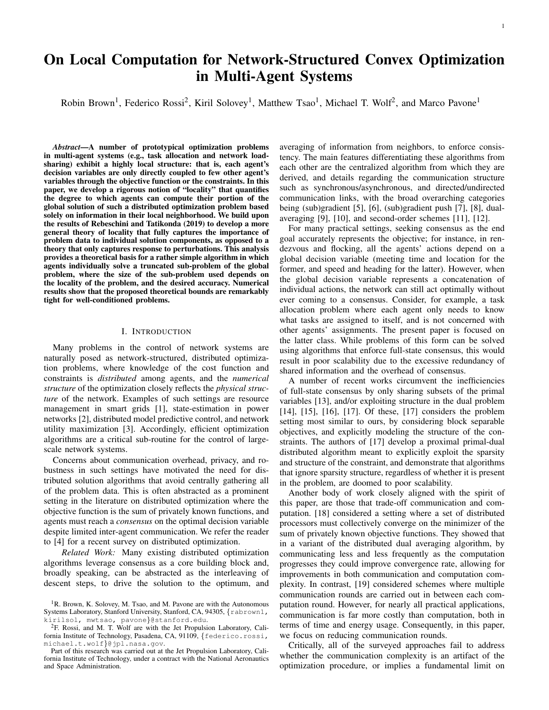where  $C = \frac{2kDk_2}{S + kA}$  $rac{2kDk_2}{s_{\min}(A)}$ , and  $k = \frac{I_{\max}(ASA^T)}{I_{\min}(ASA^T)}$  $\frac{1}{I_{\text{min}}(ASA^T)}$ .

*Proof sketch.* We consider  $fd^{(k)}g$ , the sequence of estimates of  $(ASA^T)$  <sup>1</sup>D generated via CR, and  $fSA^T d^{(k)}g$ , the corresponding sparse estimates of the sensitivity expression. The convergence guarantees of the CR iterates allow us to bound the error in each  $SA^T d^{(k)}$ , while their sparsity allows us to deduce the components of  $SA<sup>T</sup>d<sup>(k)</sup>$  that are zero. The insight that we leverage is that if  $SA^T$   $(ASA^T)$  <sup>1</sup>D  $d^{(k)}$ e and  $S A^T d^{(k)}$  $\sum_{i=1}^{n}$  = 0, then *j* S*A<sup>T</sup>* (*ASA<sup>T</sup>* <sup>1</sup> D  $\Box$ *i* j e

Theorem IV.5 states that components that are "closest" to the perturbation, i.e., those that participate in the constraints, are most sensitive to the perturbation, and the sensitivity of components decay exponentially according to their degree of separation from the perturbation. Moreover, the decay rate can be bounded by  $\frac{\overline{\beta_{k+1}}}{\overline{k+1}}$ . Theorem IV.5 can be readily extended to bound the effect that perturbations in the constraint vector, *b*, have on individual components of the correction factor.

**Corollary IV.5.1** (Decay in Error). If 
$$
l = \frac{2kDk_2}{\sqrt{\frac{k(x)}{k(1)}+1}}
$$
 for all *x*,  
then for  $C = \frac{2kDk_2}{\sinh(A)}$ ,

$$
x \stackrel{\text{min}(y)}{(\hat{b} + D)} x (\hat{b})_{S^2} C l^{d(S \text{supp}(D))}
$$
 (20)

*Proof sketch.* The proof of this theorem proceeds by plugging the bound of Theorem IV.5 into Equation (14). П

Corollary IV.5.1 extends the results of Theorem IV.5 to establish that the magnitude of the correction factor decays with distance to the perturbation. The authors of [20] characterized a similar decay bound for network flow problems, and demonstrated the potential of such a bound in the context of warm-start optimization. This decay bound extends their results to all linearly-constrained convex optimization problems, and improves on our previous results derived from the infinite series expansion of the sensitivity expression [22].

#### *C. Putting it all together*

We now have the technical machinery necessary to establish a notion of locality. In this section, we restrict our attention to local sub-problems induced by a *k*-hop neighborhood around  $x_i$  in  $G_{\text{dec}}$ . To lighten notation, we let  $x^{(k)}$  denote the solution to the local sub-problem induced by the *k*-hop neighborhood around *i* (denoted by  $x_i^{N_k^{G_{\text{dec}}}(i)}$ *i* previously). In this section, we find constants  $C$  and  $\int$  such that  $jx_i^{(k)}$  $\begin{array}{cc} (k) & x_i \end{array}$  *Cl*<sup>k</sup>:

In other words, we will show that the error in component *i* decays exponentially according to rate *l* with the size of neighborhood generating the local sub-problem. The rate l naturally characterizes the degree to which local information is sufficient to compute a single component of the global optimum, ultimately, becoming our metric of "locality".

We proceed by leveraging the results of Section IV-A to characterize the error on each of the local sub-problems in terms of the implicit constraints,  $\hat{b}^{(k)}$ . We will then apply the results derived in Section IV-B to bound the error induced at component  $x_i$ . The key difficulty resolved in this section stems from the fact that we want to avoid solving for the implicit constraints (which would require using the entirety of the problem, thus defeating the purpose of locality!)—this is akin to applying Corollary IV.5.1 without knowing D.

While we generally cannot control the value of the implicit constraints,  $\tilde{b}^{(k)}$ , the construction of the local sub-problems guarantees that the distance from  $i$  to the cut constraints is at least *k*, i.e.,  $d(i;\text{supp}(D^{(k)}))$  *k* where  $D^{(k)} := b \quad \hat{b}^{(k)}$ . Moreover, we know that the "perturbations", D (*k*) , are not arbitrary—they arise from ignoring constraints. These insights provide sufficient knowledge of  $D^{(k)}$  to apply Corollary IV.5.1. We are now in a position to prove the main result.

**Theorem III.1.** Let  $x^{(k)}$  be the solution to the optimization problem induced by restricting Problem 4 to *k*-hop neighborhood around  $x_i$ ,  $\mathcal{N}_k^{(dec)}(i)$ , and the constraints only involving those variables. If  $l = \sup_x$ py  $\int \frac{k(x)-1}{k(x)+1}$ , where  $k(x)$  denotes the condition number of  $A\tilde{N}^2 f(x)^{-1}A^T$ , then

for 
$$
C = 1 + \frac{Q}{\frac{L}{m}} \frac{jx_i^{(k)}}{\frac{2S_{max}(A)}{S_{min}^2(A)}} \frac{x_i j}{b} Ax_{UC} \frac{2!}{2!}
$$
 (21)

*Proof sketch.* The proof proceeds by first showing that the *k*hop sub-problem construction only removes constraints that are at least distance  $k$  away from component  $x_i$ . Next, we derive a bound on the maximum constraint violation that can arise from ignoring constraints. These two results can be plugged into Corollary IV.5.1 to derive the main result.  $\Box$ 

The upshot of this theorem is that if an accuracy of  $jx_i^{(k)}$  $\frac{f(x_i^{(k)} - x_i)}{1}$  log  $\frac{C}{e}$  is sufficient. The larger *l* is, the larger the neighborhood needed to achieve a desired accuracy, whereas a smaller *l* indicates that a smaller neighborhood is sufficient. We note here that the actual number of variables and constraints included in a neighborhood of a fixed size will depend on the problem. For example, if  $G_{\text{dec}}$  is a path graph, then the number of variables in each neighborhood will scale linearly with  $k$ , whereas if  $G_{\text{dec}}$  is a grid graph, then the number of variables in each neighborhood scales quadratically with *k*.

The close relationship between *l* and the size of subproblem needed to achieve a desired accuracy justifies it as a metric of the degree to which local information is sufficient to approximate individual components of the global solution. We are now in a position to define our metric of locality.

Definition IV.1 (Locality). For an optimization problem of the form (4) we define the locality of the problem as

$$
I(f;A) = \sup_{x} \varphi \frac{\overline{k(x)} - 1}{\overline{k(x)} + 1}.
$$
 (22)

We also extend the definition of locality to classes of problems. Explicitly, if it is known that  $f \, 2F$  and  $A \, 2A$ , we define the locality of the class of problems as

$$
I(F; A) = \sup_{f 2F; A2A} I(f; A).
$$
 (23)

For instance, in network utility maximization the class of constraint matrices are those representing flow conservation constraints.

#### *D. Discussion*

In this section, we have proposed a metric of locality that captures the amount of information that is required to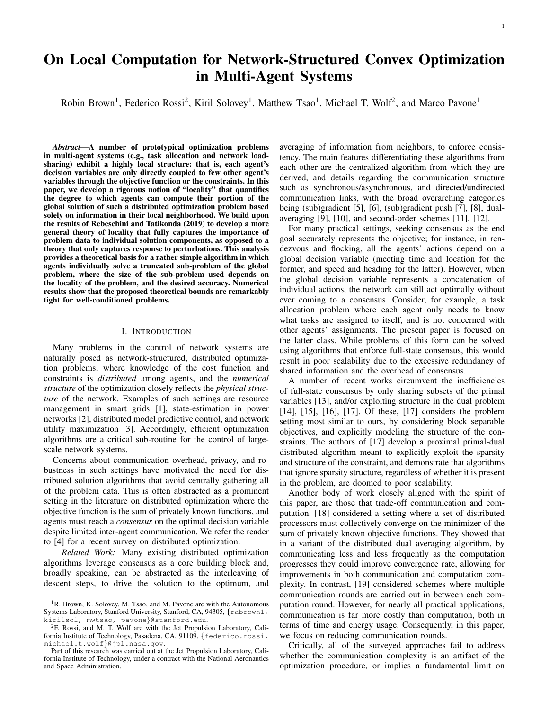solve for a single component of an optimization problem. From a practical standpoint, implementing the locality-aware algorithm requires checking the condition number for a given problem instance. In scenarios where the objective function, *f* , and constraint matrix, *A*, are fixed, the locality parameter can be computed offline, and passed in as a parameter to the network. For example, in Section V we consider an instance of economic dispatch where the objective function and constraint matrix are fixed, and the constraint vector is determined online. In this case, the proposed results can be immediately applied.

In Definition IV.1, we generalize our metric of locality to classes of problems to account for problem instances that exhibit variability in the objective and constraint matrix. As an example, in the Appendix we consider a power network state estimation problem, in which we maximize the posterior probability of the power flows and voltage angles given noisy measurements of both, subject to the power flow equations. The class of problems encompassing this scenario is are objective functions derived from the maximum-a-posteriori estimation formulation, and the constraint matrix encoding the power flow equations. The noisy measurements are modeled in the objective function, and thus is stochastic and determined at run-time. Regardless, the Hessian of the objective is constant for all possible objective functions of this form, so the locality metric can be readily computed. However, we remark that this is not always be the case, and there is often a trade-off between generality of a class of problems and how informative our metric of locality is. For example, if all but one problem in a class exhibit a high degree of locality, the proposed metric would indicate that the entire class exhibits a low degree of locality—resulting in bounds that are exceedingly conservative for almost all of the problems in that class.

If computing the locality of an entire class of problem is intractable, we suggest an approach where individual problem instances are sampled, and their locality estimated. This motivates a complementary notion of locality in a stochastic sense, where the notion of locality is extended from being a worstcase bound to one that captures the distribution of locality parameters in a class of problem. Similarly, we highlight the potential for a class of adaptive algorithms where agents individually estimate local measures of locality based on problem data within their neighborhood. This not only would alleviate the overhead of computing the global locality parameter, but would remedy the inherent conservatism of worst-case bounds—as demonstrated in Section V, the maximum error of Algorithm 1 across agents can be much worse than the average error.

## V. NUMERICAL EXPERIMENTS

In this section, we validate our theoretical bounds against the true performance of the locality-aware algorithm.

First, we consider an instance of the economic dispatch problem. We compare the true error of the locality-aware algorithm with the theoretical upper-bound on the error, as a function of the number of communication rounds. We observe that when the condition number is low, the performance of the algorithm closely matches the theoretical prediction. We also revcompare against the dual coupled diffusion algorithm and observe that the number of iterations necessary to achieve a high level of accuracy far exceeds the number of communication rounds required for the locality-aware algorithm.

Second, we consider an instance of the rendezvous problem. Intuitively, deciding on a meeting location that is central to all agents is an inherently global problem. This is confirmed by the high locality parameter. Empirically, the rendezvous problem does not exhibit locality that is overlooked by the theory. This confirms that our characterization of locality does not buy us locality when there is none.

#### *A. Economic Dispatch*

*1) Problem Setting:* We consider a setting where generators are positioned in an *N M* grid, and load buses are positioned in the center of each grid cell. Each load bus is only connected to its neighboring generators, which need to supply enough power to satisfy a stochastically generated load  $\mathcal{L}_i$ . The costs associated with the problem are a quadratic generation and transmission costs with coefficients  $\frac{a}{2}$  and  $\frac{b}{2}$ , respectively. The optimization problem representing this setting is given by

$$
\begin{array}{ll}\n\text{minimize} & \frac{\partial}{2} \hat{\mathbf{q}} & \hat{\mathbf{q}} \quad x_{i:j} & +\frac{b}{2} \hat{\mathbf{q}} & \hat{\mathbf{q}} \quad x_{i:j} \\
\text{subject to} & \hat{\mathbf{q}} \quad x_{i:j} = \sum_{j} \beta j \\
\text{subject to} & \hat{\mathbf{q}} \quad x_{i:j} = \sum_{j} \beta j \\
\end{array} \quad (24)
$$

If  $a = 0$ , the problem fully decouples and the optimal solution splits each load evenly between its generators. This setting allows us to use the parameters  $a$  and  $b$  to "tune" the locality of the problem and evaluate the proposed bounds for varying rates of locality. This example also illustrates the extension of our results to block-separable objectives.

*2) Effect of Locality on Convergence:* In this example, we fixed the dimension of the global problem to be 20 20, and varied a to be 0:1, 10, and 1000. The condition number for each of these cases was calculated and found to be 1:39, 37:62, and 3611:43, respectively—these correspond to locality parameters of 0.08, 0.72, and 0.97. We select each load uniformly from the range  $[0, 10]$ . In each of these cases, we run Algorithm 1 for values of *K* that vary between 0 and the diameter of the network. Figure 1 plots the maximum and average errors (computed over all the agents) against *K*, as well as the error bound in Theorem III.1 derived from the locality parameter. <sup>8</sup> For well-conditioned problems, the true performance of the algorithm aligns closely with the theoretical prediction, while the theoretical bounds become more conservative as the condition number increases. In cases with low locality parameter, the error exhibits clear exponential convergence. Whereas, when the locality parameter is higher, the convergence rate of the error appears to increase with the number of communication rounds. This aligns with the superlinear convergence behavior sometimes observed with Krylov subspace methods [24].

*3) Comparison to other methods:* We now evaluate the performance of our algorithm against the dual coupled diffusion algorithm of [17]. The dual coupled diffusion algorithm is a proximal primal-dual decentralized optimization algorithm for problems of the form *N*

$$
\begin{array}{ll}\n\text{minimize} & f(x) = \overset{\text{iv}}{\underset{i=1}{\bigoplus}} f_i(x_i) \\
\text{subject to} & \overset{\text{v}}{\underset{k \geq N_s}{\bigoplus}} f_s(x_i) \\
& \text{subject to} & \overset{\text{v}}{\underset{k \geq N_s}{\bigoplus}} x_k; \quad \text{for } s = 1; \dots; K\n\end{array}\n\tag{25}
$$

<sup>8</sup>We note that the constant bound in Theorem III.1 can be improved to  $C = 2 \frac{1}{5 \text{min}(A)} b$  *Ax<sub>UC* 2</sub>, by observing that any load not included in the constraints will simply be left unfulfilled.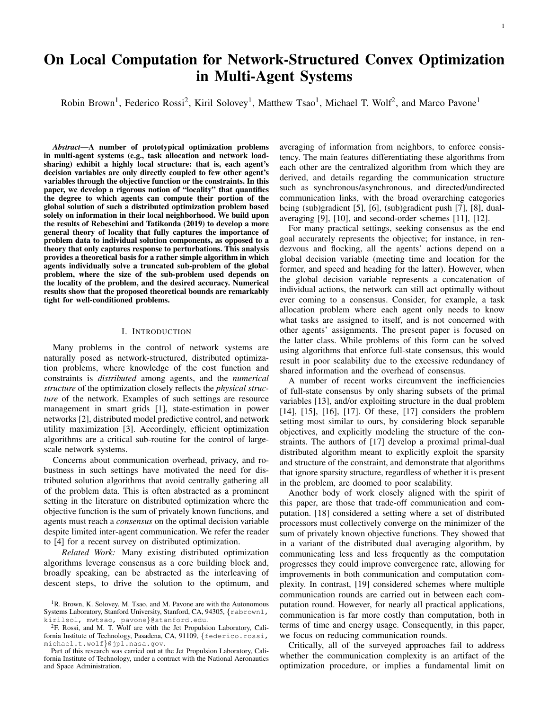

Fig. 1: This figure plots the true accuracy of the locality-aware algorithm against the theoretical accuracy for varying communication rounds. In the well-conditioned case, the proposed theoretical rate is tight. As the conditioning of the problem increases, the theoretical bound becomes more conservative.

where  $f_i: \mathbb{R}^{Q_i} \mid \mathbb{R}, A_{s,k} \supseteq \mathbb{R}^{S_s} \mid Q_k, b_s \supseteq \mathbb{R}^{S_s}$  and  $\mathbb{N}_s$  denotes the neighborhood of agent *s* including agent *s* itself. We note that problem (4) can be written in the form of problem (25) where  $Q_i = 1$  for all  $i \, \supseteq [N]$  and  $S_s = 1$  for all  $s \, \supseteq [K]$ . Every agents maintains a copy of its local decision variable, and its associated dual variables. In each synchronous iteration, the algorithm uses proximal gradient descent to update the primal variables, and a combination of gradient ascent and consensus to update the dual variables. The primal and dual step-sizes (denoted  $m_x$  and  $m_y$ , respectively) are constant throughout the algorithm and assumed to be the same for all of the agents.

Critically, convergence is only guaranteed if  $m_x < \frac{1}{2L/m}$  =:  $C_x$  and  $m_v < \frac{m}{l_{\text{max}}(B^T B)} =: C_v$ , where *B* is the matrix representing the "global view" of the constraints. We evaluated sensitivity to these bounds by testing various step-sizes given by  $m_x = qC_x$ and  $m_v = gC_v$  for  $g \geq [0.25, 0.95, 2.0]$ . The maximum error,  $k\hat{x}_i$  *x*  $k_4$ , and the average error,  $k\hat{x}_i$  *x*  $k_1 = \hat{a}_i Q_i$ , are plotted against communication rounds in Figure 2. Generally, the larger the step-size is the faster the convergence, so long as the step-sizes remain below the provided bounds. Underestimating the step-size bounds results in dramatically slower convergence. As such, effective implementation of the dual coupled diffusion algorithm requires accurate estimates of global problem data. Much like the locality-aware approach, this dependence makes the dual coupled diffusion algorithm best suited to scenarios where similar problems are solved repeatedly online. In general, the locality-aware algorithm requires far fewer communication rounds than the dual coupled diffusion algorithm, with this difference being amplified as the conditioning of the problem worsens. However, the locality-aware algorithm requires explicitly sharing problem data, while the dual-coupled diffusion algorithm only shares dual estimates. Accordingly, the locality-aware algorithm is preferable when privacy is not a concern, while the dualcoupled diffusion algorithm is preferable when local objective functions must be kept private.

# *B. Rendezvous*

We now consider a rendezvous problem where 1000 agents, placed uniformly at random in a  $[0,1]^2$  grid at locations  $f(x_i, y_i) g_i$ <sub>2[1000]</sub>, must decide on a meeting location central to all agents. The optimization problem representing this setting is given by *N*

$$
(x \ y) = \arg \min_{x/y \ 2 \ R} \quad \mathring{A}(x \ x_i)^2 + (y \ y_i)^2; \qquad (26)
$$

where  $(x, y)$   $2 \mathbb{R}^2$  is the optimal meeting location. We assume that the communication graph,  $G = (V/E)$  between agents is a given by the minimum weight spanning tree of their distances. We rewrite Problem 26 in "distributed" form:

minimize 
$$
\mathbf{\hat{A}} (\hat{x}_i - x_i)^2 + (\hat{y}_i - y_i)^2
$$
  
\n $\hat{x} \hat{y} \hat{z} \mathbf{R}^N$   $i=1$  (27)  
\nsubject to  $\hat{x}_i = \hat{x}_j \hat{y}_i = \hat{y}_j$   $\mathcal{S}(i;j) \hat{z} E$ 

This formulation creates local copies of the meeting coordinates, and ensures that neighbors agree on the same location. Because the communication graph is connected, this ensures that all agents agree on the same location. Intuitively, deciding on a meeting location that is central to *all* agents is an inherently global problem. This is confirmed by the locality parameter, which was found to be  $l = 0.9939$ . The true error along with its theoretical bounds are plotted in Figure 3: unlike the example of power network state-estimation presented in the Appendix, the rendezvous example did not exhibit locality that was overlooked by the theory.

This experiment shows that our characterization of locality does not buy us locality when there is none. Some problems that we might solve with a multi-agent system are inherently global, requiring information from all of the nodes to solve with reasonable accuracy. The purpose of this paper is not to imbue all problems with with a high degree of locality, but rather to develop a metric that can distinguish between the two.

## VI. CONCLUSION

In this paper, we have studied the structure of linearlyconstrained strongly-convex optimization problems, showing that *all* such problems exhibit locality. Our results leverage Conjugate Residuals to relate the locality of a problem  $\mathfrak{g}_P$  its conditioning. The rate of locality derived from CR,  $\frac{1}{\sqrt{K}}\sum_{k=1}^{K}$ , is a significant improvement to the  $\frac{k-1}{k+1}$  rate derived in previous work via the infinite Neumann expansion. This notion provided a theoretical basis for a rather simple algorithm in which agents individually solve a truncated sub-problem of the global problem. Finally, we demonstrated our algorithm in the context of both economic dispatch and rendezvous.

While the framework of locality appears to be a promising direction for improving the scalability of multi-agent systems, a number of key questions remain open. The first is the issue of determining the locality parameter of a problem—as stated, it is defined as a uniform bound on condition number, which is inherently a global measure. This motivates developing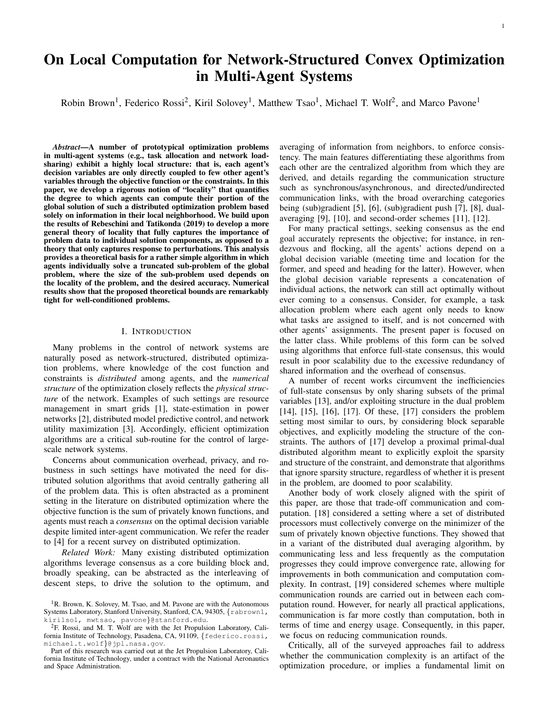

Fig. 2: This figure plots the convergence of the dual coupled diffusion algorithm (maximum error is as a solid line, average error as a dashed line in the same color) against the number of communication rounds for varying multiplicative factors of the step-size bounds. In the well-conditioned case, convergence is rapid, but diverges when step-size exceeds the bounds provided in [17]. As the conditioning worsens, convergence slows down dramatically, but the algorithm can still achieve convergence despite the step-sizes exceeding the theoretical bounds.



Fig. 3: This figure shows the true accuracy of the localityaware algorithm (blue) against its theoretical accuracy (red). The locality parameter,  $l = 0.9939$ , indicates that the error should hardly decay with the number of communication rounds, which aligns with the empirical results observed.

algorithms that implicitly exploit locality in contrast to the explicit truncation method in the present paper. Ideally, such an algorithm would adapt to the present problem without requiring the locality parameter as an input.

#### **REFERENCES**

- [1] A. J. Wood, B. F. Wollenberg, and G. B. Sheblé, *Power Generation, Operation, and Control.*, 3rd ed., J. W. . Sons, Ed. Wiley, 2013. [2] F. Pasqualetti, R. Carli, and F. Bullo, "Distributed estimation via iterative
- 
- projections with application to power network monitoring," vol. 47, no. 5, pp. 747-758, 2012.<br>[3] S. H. Low and D. E. Lapsley, "Optimization flow control. i. basic algorithm and convergence," *IEEE/ACM Transactions on Netw*  $\frac{1}{2}$  and  $\frac{1}{2}$ ,  $\frac{1}{2}$ ,  $\frac{1}{2}$ ,  $\frac{1}{2}$ ,  $\frac{1}{2}$ ,  $\frac{1}{2}$ ,  $\frac{1}{2}$ ,  $\frac{1}{2}$ ,  $\frac{1}{2}$ ,  $\frac{1}{2}$ ,  $\frac{1}{2}$ ,  $\frac{1}{2}$ ,  $\frac{1}{2}$ ,  $\frac{1}{2}$ ,  $\frac{1}{2}$ ,  $\frac{1}{2}$ ,  $\frac{1}{2}$ ,  $\frac{1}{2}$ ,  $\frac{1}{2}$
- communication-computation tradeoffs in decentralized optimization,"
- *Proc. of the IEEE*, vol. 106, no. 5, pp. 953–976, 2018.<br>[5] A. Nedić, A. Ozdaglar, and P. A. Parrilo, "Constrained consensus and optimization in multi-agent networks," *IEEE Transactions on Automatic Control*, vol. 55, no. 4, pp. 922–938, 2010.<br>[6] D. Jakovetić, J. Xavier, and J. M. F. Moura, "Fast distributed gradient
- methods," *IEEE Transactions on Automatic Control*, vol. 59, no. 5, pp. 1131–1146, 2014.
- 
- [7] A. Nedić and A. Olshevsky, "Distributed optimization over time-varying directed graphs," in *Proc. IEEE Conf. on Decision and Control*, 2013. [8] K. I. Tsianos and M. G. Rabbat, "Distributed consensus and optimization *Control and Computing*, 2011.
- [9] K. I. Tsianos, S. Lawlor, and M. G. Rabbat, "Push-sum distributed dual averaging for convex optimization," in *Proc. IEEE Conf. on Decision and Control*, 2012.
- [10] J. C. Duchi, A. Agarwal, and M. J. Wainwright, "Dual averaging for distributed optimization: Convergence analysis and network scaling," *IEEE Transactions on Automatic Control*, vol. 57, no. 3, pp. 592–606, 2012.
- [11] D. Varagnolo, F. Zanella, A. Cenedese, G. Pillonetto, and L. Schenato, "Newton-raphson consensus for distributed convex optimization," *Transactions on Automatic Control*, vol. 61, no. 4, pp. 994–1009, 2016.
- [12] A. Mokhtari, Q. Ling, and A. Ribeiro, "Network newton distributed optimization methods," *IEEE Transactions on Signal Processing*, vol. 65, no. 1, pp. 146–161, 2017.
- [13] M. Todescato, N. Bof, G. Cavraro, R. Carli, and L. Schenato, "Partitionbased multi-agent optimization in the presence of lossy and asyn-chronous communication," vol. 111, p. 108648, 2020. [14] I. Notarnicola and G. Notarstefano, "Constraint-coupled distributed
- 
- optimization: A relaxation and duality approach," IEEE Transactions<br>
on Control of Network Systems, vol. 7, no. 1, pp. 483–492, 2020.<br>
[15] I. Notamicola, R. Carli, and G. Notarstefano, "Distributed partitioned<br>
big-data o 1919, 2018.
- [16] A. Falsone, K. Margellos, S. Garatti, and M. Prandini, "Dual decomposition for multi-agent distributed optimization with coupling constraints, vol. 84, pp. 149–158, 2017.
- [17] S. A. Alghunaim, K. Yuan, and A. H. Sayed, "A proximal diffusion strategy for multi-agent optimization with sparse affine constraints, *IEEE Transactions on Automatic Control*, 2019.
- [18] K. Tsianos, S. Lawlor, and M. G. Rabbat, "Communication/computation tradeoffs in consensus-based distributed optimization," in *Advances in Neural Information Processing Systems 25*, 2012. [19] A. S. Berahas, R. Bollapragada, N. S. Keskar, and E. Wei, "Balancing
- communication and computation in distributed optimization," *IEEE*
- Transactions on Automatic Control, vol. 64, no. 8, pp. 3141–3155, 2018.<br>[20] P. Rebeschini and S. Tatikonda, "Locality in network optimization,"<br>IEEE Transactions on Control of Network Systems, vol. 6, no. 2, pp. 487–500, 2019.
- [21] R. Rubinfeld, G. Tamir, S. Vardi, and N. Xie, "Fast local computation
- algorithms," Massachusetts Inst. of Technology, Tech. Rep., 2011. [22] R. A. Brown, F. Rossi, K. Solovey, M. T. Wolf, and M. Pavone, "Exploiting locality and structure for distributed optimization in multiagent systems," in *European Control Conference*, 2020.
- [23] Y. Saad, *Iterative Methods for Sparse Linear Systems*, 2nd ed. SIAM, 2003.
- [24] B. Beckermann and A. B. J. Kuijlaars, "Superlinear convergence of conjugate gradients," *SIAM Journal on Numerical Analysis*, vol. 39, no. 1, pp. 300–329, 2001.<br>
[25] C. Josz, S. Fliscounakis, J. Maeght, and P. Pancia
- in matpower and qcqp format: itesla, rte snapshots, and pegase. Available at https://arxiv.org/abs/1603.01533. Réseau de Transport d'Électricité.
- [26] D. Molzahn, F. Dörfler, H. Sandberg, S. Low, S. Chakrabarti, R. Baldick, and J. Lavaei, "A survey of distributed optimization and control algorithms for electric power systems," *IEEE Transactions on Smart Grid*, vol. 8, no. 6, pp. 2941–2962, 2017.

## VII. APPENDIX

# *A. Full Proofs of Section IV*

**Lemma IV.2** (Implicit Constraints). Let  $\hat{x}^{(S)}$  be defined as in Lemma IV.1, and  $\hat{b} = A\hat{x}^{(S)}$ . Then,

$$
\hat{x}^{(S)} = \underset{x \, 2 \, \mathbb{R}^N}{\text{arg min}} \quad f(x) \tag{28}
$$

subject to  $Ax = \hat{b}$ :

*Proof.* Assume by contradiction that there exists an optimal solution  $\tilde{x} \neq \hat{x}^{(S)}$  to Problem (13) with optimal value  $f(\tilde{x}) < f(\hat{x}^{(S)})$ . Note that on  $C_s$ , the implicit constraints are equal to the true constraints. i.e.,  $b_{C_s} = \hat{b}_{C_s}$ .

The constraints in Problem (12) are a subset of the constraints in Problem (13). Therefore, the feasible set of Problem (13) is contained in the feasible set of Problem (12). Explicitly,

$$
f x j A x = \hat{b} g = f x j A \quad c; \ x = \hat{b} \quad c; A c; \ x = \hat{b} c g \tag{29}
$$